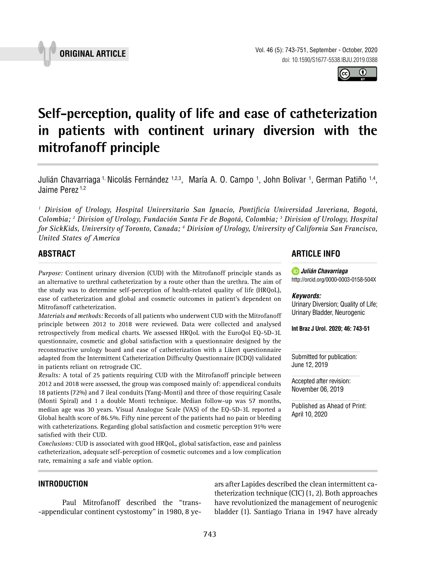



# **Self-perception, quality of life and ease of catheterization in patients with continent urinary diversion with the mitrofanoff principle \_\_\_\_\_\_\_\_\_\_\_\_\_\_\_\_\_\_\_\_\_\_\_\_\_\_\_\_\_\_\_\_\_\_\_\_\_\_\_\_\_\_\_\_\_\_\_**

Julián Chavarriaga <sup>1,</sup> Nicolás Fernández <sup>1,2,3</sup>, María A. O. Campo <sup>1</sup>, John Bolivar <sup>1</sup>, German Patiño <sup>1,4</sup>, Jaime Perez<sup>1,2</sup>

*1 Division of Urology, Hospital Universitario San Ignacio, Pontificia Universidad Javeriana, Bogotá, Colombia; 2 Division of Urology, Fundación Santa Fe de Bogotá, Colombia; 3 Division of Urology, Hospital for SickKids, University of Toronto, Canada; 4 Division of Urology, University of California San Francisco, United States of America*

## **ABSTRACT**

*Purpose:* Continent urinary diversion (CUD) with the Mitrofanoff principle stands as an alternative to urethral catheterization by a route other than the urethra. The aim of the study was to determine self-perception of health-related quality of life (HRQoL), ease of catheterization and global and cosmetic outcomes in patient's dependent on Mitrofanoff catheterization.

*Materials and methods:* Records of all patients who underwent CUD with the Mitrofanoff principle between 2012 to 2018 were reviewed. Data were collected and analysed retrospectively from medical charts. We assessed HRQoL with the EuroQol EQ-5D-3L questionnaire, cosmetic and global satisfaction with a questionnaire designed by the reconstructive urology board and ease of catheterization with a Likert questionnaire adapted from the Intermittent Catheterization Difficulty Questionnaire (ICDQ) validated in patients reliant on retrograde CIC.

*Results:* A total of 25 patients requiring CUD with the Mitrofanoff principle between 2012 and 2018 were assessed, the group was composed mainly of: appendiceal conduits 18 patients (72%) and 7 ileal conduits (Yang-Monti) and three of those requiring Casale (Monti Spiral) and 1 a double Monti technique. Median follow-up was 57 months, median age was 30 years. Visual Analogue Scale (VAS) of the EQ-5D-3L reported a Global health score of 86.5%. Fifty nine percent of the patients had no pain or bleeding with catheterizations. Regarding global satisfaction and cosmetic perception 91% were satisfied with their CUD.

*Conclusions:* CUD is associated with good HRQoL, global satisfaction, ease and painless catheterization, adequate self-perception of cosmetic outcomes and a low complication rate, remaining a safe and viable option.

### **INTRODUCTION**

Paul Mitrofanoff described the "trans- -appendicular continent cystostomy" in 1980, 8 ye-

# **ARTICLE INFO**

*Julián Chavarriaga* http://orcid.org/[0000-0003-0158-504X](https://orcid.org/0000-0003-0158-504X)

#### *Keywords:*

Urinary Diversion; Quality of Life; Urinary Bladder, Neurogenic

**Int Braz J Urol. 2020; 46: 743-51**

Submitted for publication: June 12, 2019

Accepted after revision: November 06, 2019

ars after Lapides described the clean intermittent catheterization technique (CIC) (1, 2). Both approaches have revolutionized the management of neurogenic bladder (1). Santiago Triana in 1947 have already

Published as Ahead of Print: April 10, 2020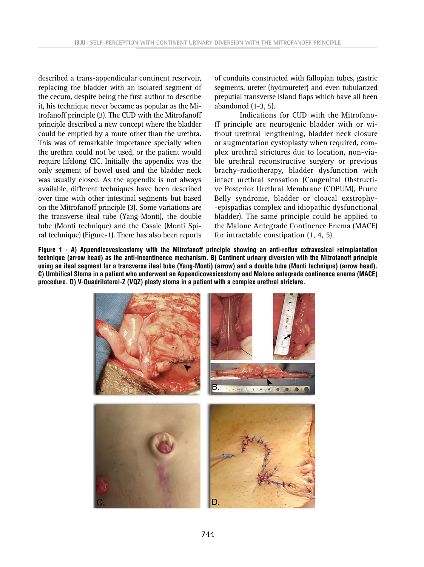described a trans-appendicular continent reservoir, replacing the bladder with an isolated segment of the cecum, despite being the first author to describe it, his technique never became as popular as the Mitrofanoff principle (3). The CUD with the Mitrofanoff principle described a new concept where the bladder could be emptied by a route other than the urethra. This was of remarkable importance specially when the urethra could not be used, or the patient would require lifelong CIC. Initially the appendix was the only segment of bowel used and the bladder neck was usually closed. As the appendix is not always available, different techniques have been described over time with other intestinal segments but based on the Mitrofanoff principle (3). Some variations are the transverse ileal tube (Yang-Monti), the double tube (Monti technique) and the Casale (Monti Spiral technique) (Figure-1). There has also been reports

of conduits constructed with fallopian tubes, gastric segments, ureter (hydroureter) and even tubularized preputial transverse island flaps which have all been abandoned (1-3, 5).

Indications for CUD with the Mitrofanoff principle are neurogenic bladder with or without urethral lengthening, bladder neck closure or augmentation cystoplasty when required, complex urethral strictures due to location, non-viable urethral reconstructive surgery or previous brachy-radiotherapy, bladder dysfunction with intact urethral sensation (Congenital Obstructive Posterior Urethral Membrane (COPUM), Prune Belly syndrome, bladder or cloacal exstrophy- -epispadias complex and idiopathic dysfunctional bladder). The same principle could be applied to the Malone Antegrade Continence Enema (MACE) for intractable constipation (1, 4, 5).

**Figure 1 - A) Appendicovesicostomy with the Mitrofanoff principle showing an anti-reflux extravesical reimplantation technique (arrow head) as the anti-incontinence mechanism. B) Continent urinary diversion with the Mitrofanoff principle using an ileal segment for a transverse ileal tube (Yang-Monti) (arrow) and a double tube (Monti technique) (arrow head). C) Umbilical Stoma in a patient who underwent an Appendicovesicostomy and Malone antegrade continence enema (MACE) procedure. D) V-Quadrilateral-Z (VQZ) plasty stoma in a patient with a complex urethral stricture.**

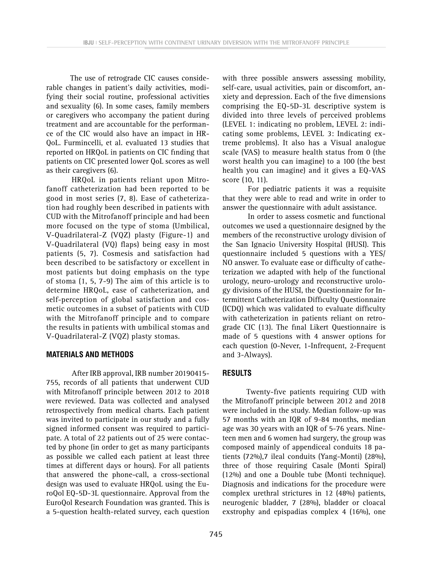The use of retrograde CIC causes considerable changes in patient's daily activities, modifying their social routine, professional activities and sexuality (6). In some cases, family members or caregivers who accompany the patient during treatment and are accountable for the performance of the CIC would also have an impact in HR-QoL. Furmincelli, et al. evaluated 13 studies that reported on HRQoL in patients on CIC finding that patients on CIC presented lower QoL scores as well as their caregivers (6).

HRQoL in patients reliant upon Mitrofanoff catheterization had been reported to be good in most series (7, 8). Ease of catheterization had roughly been described in patients with CUD with the Mitrofanoff principle and had been more focused on the type of stoma (Umbilical, V-Quadrilateral-Z (VQZ) plasty (Figure-1) and V-Quadrilateral (VQ) flaps) being easy in most patients (5, 7). Cosmesis and satisfaction had been described to be satisfactory or excellent in most patients but doing emphasis on the type of stoma (1, 5, 7-9) The aim of this article is to determine HRQoL, ease of catheterization, and self-perception of global satisfaction and cosmetic outcomes in a subset of patients with CUD with the Mitrofanoff principle and to compare the results in patients with umbilical stomas and V-Quadrilateral-Z (VQZ) plasty stomas.

#### **MATERIALS AND METHODS**

After IRB approval, IRB number 20190415- 755, records of all patients that underwent CUD with Mitrofanoff principle between 2012 to 2018 were reviewed. Data was collected and analysed retrospectively from medical charts. Each patient was invited to participate in our study and a fully signed informed consent was required to participate. A total of 22 patients out of 25 were contacted by phone (in order to get as many participants as possible we called each patient at least three times at different days or hours). For all patients that answered the phone-call, a cross-sectional design was used to evaluate HRQoL using the EuroQol EQ-5D-3L questionnaire. Approval from the EuroQol Research Foundation was granted. This is a 5-question health-related survey, each question with three possible answers assessing mobility, self-care, usual activities, pain or discomfort, anxiety and depression. Each of the five dimensions comprising the EQ-5D-3L descriptive system is divided into three levels of perceived problems (LEVEL 1: indicating no problem, LEVEL 2: indicating some problems, LEVEL 3: Indicating extreme problems). It also has a Visual analogue scale (VAS) to measure health status from 0 (the worst health you can imagine) to a 100 (the best health you can imagine) and it gives a EQ-VAS score (10, 11).

For pediatric patients it was a requisite that they were able to read and write in order to answer the questionnaire with adult assistance.

In order to assess cosmetic and functional outcomes we used a questionnaire designed by the members of the reconstructive urology division of the San Ignacio University Hospital (HUSI). This questionnaire included 5 questions with a YES/ NO answer. To evaluate ease or difficulty of catheterization we adapted with help of the functional urology, neuro-urology and reconstructive urology divisions of the HUSI, the Questionnaire for Intermittent Catheterization Difficulty Questionnaire (ICDQ) which was validated to evaluate difficulty with catheterization in patients reliant on retrograde CIC (13). The final Likert Questionnaire is made of 5 questions with 4 answer options for each question (0-Never, 1-Infrequent, 2-Frequent and 3-Always).

### **RESULTS**

Twenty-five patients requiring CUD with the Mitrofanoff principle between 2012 and 2018 were included in the study. Median follow-up was 57 months with an IQR of 9-84 months, median age was 30 years with an IQR of 5-76 years. Nineteen men and 6 women had surgery, the group was composed mainly of appendiceal conduits 18 patients (72%),7 ileal conduits (Yang-Monti) (28%), three of those requiring Casale (Monti Spiral) (12%) and one a Double tube (Monti technique). Diagnosis and indications for the procedure were complex urethral strictures in 12 (48%) patients, neurogenic bladder, 7 (28%), bladder or cloacal exstrophy and epispadias complex 4 (16%), one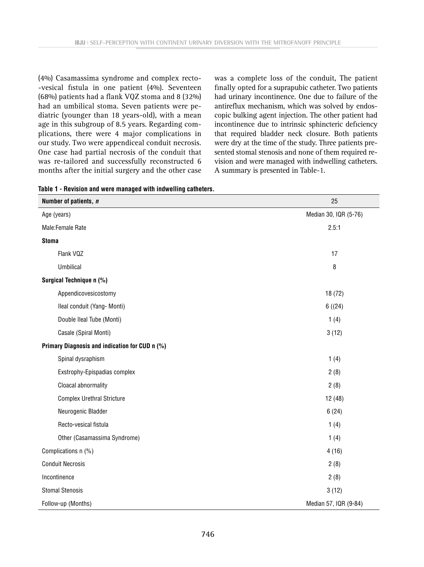(4%) Casamassima syndrome and complex recto- -vesical fistula in one patient (4%). Seventeen (68%) patients had a flank VQZ stoma and 8 (32%) had an umbilical stoma. Seven patients were pediatric (younger than 18 years-old), with a mean age in this subgroup of 8.5 years. Regarding complications, there were 4 major complications in our study. Two were appendiceal conduit necrosis. One case had partial necrosis of the conduit that was re-tailored and successfully reconstructed 6 months after the initial surgery and the other case

was a complete loss of the conduit, The patient finally opted for a suprapubic catheter. Two patients had urinary incontinence. One due to failure of the antireflux mechanism, which was solved by endoscopic bulking agent injection. The other patient had incontinence due to intrinsic sphincteric deficiency that required bladder neck closure. Both patients were dry at the time of the study. Three patients presented stomal stenosis and none of them required revision and were managed with indwelling catheters. A summary is presented in Table-1.

|  |  |  |  |  |  |  | Table 1 - Revision and were managed with indwelling catheters. |  |
|--|--|--|--|--|--|--|----------------------------------------------------------------|--|
|--|--|--|--|--|--|--|----------------------------------------------------------------|--|

| Number of patients, n                          | 25                    |
|------------------------------------------------|-----------------------|
| Age (years)                                    | Median 30, IQR (5-76) |
| Male:Female Rate                               | 2.5:1                 |
| <b>Stoma</b>                                   |                       |
| Flank VQZ                                      | 17                    |
| <b>Umbilical</b>                               | 8                     |
| Surgical Technique n (%)                       |                       |
| Appendicovesicostomy                           | 18 (72)               |
| Ileal conduit (Yang- Monti)                    | 6(24)                 |
| Double Ileal Tube (Monti)                      | 1(4)                  |
| Casale (Spiral Monti)                          | 3(12)                 |
| Primary Diagnosis and indication for CUD n (%) |                       |
| Spinal dysraphism                              | 1(4)                  |
| Exstrophy-Epispadias complex                   | 2(8)                  |
| Cloacal abnormality                            | 2(8)                  |
| <b>Complex Urethral Stricture</b>              | 12(48)                |
| Neurogenic Bladder                             | 6(24)                 |
| Recto-vesical fistula                          | 1(4)                  |
| Other (Casamassima Syndrome)                   | 1(4)                  |
| Complications n (%)                            | 4(16)                 |
| <b>Conduit Necrosis</b>                        | 2(8)                  |
| Incontinence                                   | 2(8)                  |
| <b>Stomal Stenosis</b>                         | 3(12)                 |
| Follow-up (Months)                             | Median 57, IQR (9-84) |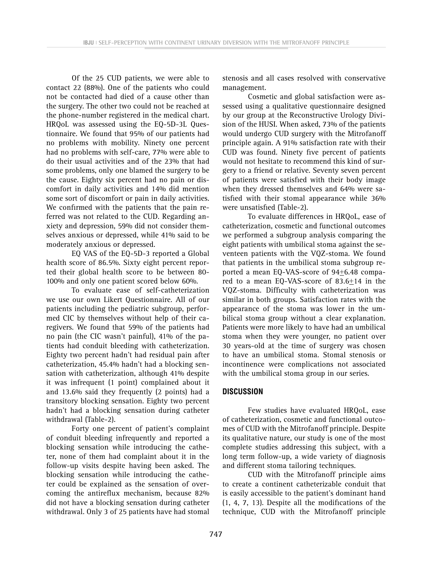Of the 25 CUD patients, we were able to contact 22 (88%). One of the patients who could not be contacted had died of a cause other than the surgery. The other two could not be reached at the phone-number registered in the medical chart. HRQoL was assessed using the EQ-5D-3L Questionnaire. We found that 95% of our patients had no problems with mobility. Ninety one percent had no problems with self-care, 77% were able to do their usual activities and of the 23% that had some problems, only one blamed the surgery to be the cause. Eighty six percent had no pain or discomfort in daily activities and 14% did mention some sort of discomfort or pain in daily activities. We confirmed with the patients that the pain referred was not related to the CUD. Regarding anxiety and depression, 59% did not consider themselves anxious or depressed, while 41% said to be moderately anxious or depressed.

EQ VAS of the EQ-5D-3 reported a Global health score of 86.5%. Sixty eight percent reported their global health score to be between 80- 100% and only one patient scored below 60%.

To evaluate ease of self-catheterization we use our own Likert Questionnaire. All of our patients including the pediatric subgroup, performed CIC by themselves without help of their caregivers. We found that 59% of the patients had no pain (the CIC wasn't painful), 41% of the patients had conduit bleeding with catheterization. Eighty two percent hadn't had residual pain after catheterization, 45.4% hadn't had a blocking sensation with catheterization, although 41% despite it was infrequent (1 point) complained about it and 13.6% said they frequently (2 points) had a transitory blocking sensation. Eighty two percent hadn't had a blocking sensation during catheter withdrawal (Table-2).

Forty one percent of patient's complaint of conduit bleeding infrequently and reported a blocking sensation while introducing the catheter, none of them had complaint about it in the follow-up visits despite having been asked. The blocking sensation while introducing the catheter could be explained as the sensation of overcoming the antireflux mechanism, because 82% did not have a blocking sensation during catheter withdrawal. Only 3 of 25 patients have had stomal stenosis and all cases resolved with conservative management.

Cosmetic and global satisfaction were assessed using a qualitative questionnaire designed by our group at the Reconstructive Urology Division of the HUSI. When asked, 73% of the patients would undergo CUD surgery with the Mitrofanoff principle again. A 91% satisfaction rate with their CUD was found. Ninety five percent of patients would not hesitate to recommend this kind of surgery to a friend or relative. Seventy seven percent of patients were satisfied with their body image when they dressed themselves and 64% were satisfied with their stomal appearance while 36% were unsatisfied (Table-2).

To evaluate differences in HRQoL, ease of catheterization, cosmetic and functional outcomes we performed a subgroup analysis comparing the eight patients with umbilical stoma against the seventeen patients with the VQZ-stoma. We found that patients in the umbilical stoma subgroup reported a mean EQ-VAS-score of 94+6.48 compared to a mean EQ-VAS-score of 83.6+14 in the VQZ-stoma. Difficulty with catheterization was similar in both groups. Satisfaction rates with the appearance of the stoma was lower in the umbilical stoma group without a clear explanation. Patients were more likely to have had an umbilical stoma when they were younger, no patient over 30 years-old at the time of surgery was chosen to have an umbilical stoma. Stomal stenosis or incontinence were complications not associated with the umbilical stoma group in our series.

### **DISCUSSION**

Few studies have evaluated HRQoL, ease of catheterization, cosmetic and functional outcomes of CUD with the Mitrofanoff principle. Despite its qualitative nature, our study is one of the most complete studies addressing this subject, with a long term follow-up, a wide variety of diagnosis and different stoma tailoring techniques.

CUD with the Mitrofanoff principle aims to create a continent catheterizable conduit that is easily accessible to the patient's dominant hand (1, 4, 7, 13). Despite all the modifications of the technique, CUD with the Mitrofanoff principle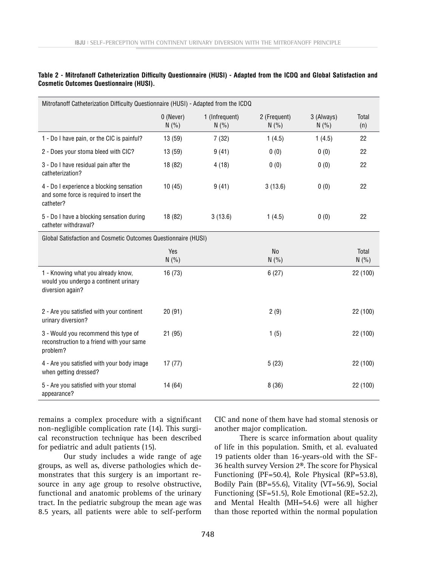| Mitrofanoff Catheterization Difficulty Questionnaire (HUSI) - Adapted from the ICDQ               |                    |                         |                       |                     |                |  |  |  |  |
|---------------------------------------------------------------------------------------------------|--------------------|-------------------------|-----------------------|---------------------|----------------|--|--|--|--|
|                                                                                                   | 0 (Never)<br>N(% ) | 1 (Infrequent)<br>N(% ) | 2 (Frequent)<br>N(% ) | 3 (Always)<br>N(% ) | Total<br>(n)   |  |  |  |  |
| 1 - Do I have pain, or the CIC is painful?                                                        | 13 (59)            | 7(32)                   | 1(4.5)                | 1(4.5)              | 22             |  |  |  |  |
| 2 - Does your stoma bleed with CIC?                                                               | 13(59)             | 9(41)                   | 0(0)                  | 0(0)                | 22             |  |  |  |  |
| 3 - Do I have residual pain after the<br>catheterization?                                         | 18 (82)            | 4(18)                   | 0(0)                  | 0(0)                | 22             |  |  |  |  |
| 4 - Do I experience a blocking sensation<br>and some force is required to insert the<br>catheter? | 10(45)             | 9(41)                   | 3(13.6)               | 0(0)                | 22             |  |  |  |  |
| 5 - Do I have a blocking sensation during<br>catheter withdrawal?                                 | 18 (82)            | 3(13.6)                 | 1(4.5)                | 0(0)                | 22             |  |  |  |  |
| Global Satisfaction and Cosmetic Outcomes Questionnaire (HUSI)                                    |                    |                         |                       |                     |                |  |  |  |  |
|                                                                                                   | Yes<br>N(% )       |                         | <b>No</b><br>N(% )    |                     | Total<br>N(% ) |  |  |  |  |
| 1 - Knowing what you already know,<br>would you undergo a continent urinary<br>diversion again?   | 16(73)             |                         | 6(27)                 |                     | 22 (100)       |  |  |  |  |
| 2 - Are you satisfied with your continent<br>urinary diversion?                                   | 20(91)             |                         | 2(9)                  |                     | 22 (100)       |  |  |  |  |
| 3 - Would you recommend this type of<br>reconstruction to a friend with your same<br>problem?     | 21(95)             |                         | 1(5)                  |                     | 22 (100)       |  |  |  |  |
| 4 - Are you satisfied with your body image<br>when getting dressed?                               | 17(77)             |                         | 5(23)                 |                     | 22 (100)       |  |  |  |  |
| 5 - Are you satisfied with your stomal<br>appearance?                                             | 14 (64)            |                         | 8(36)                 |                     | 22 (100)       |  |  |  |  |

**Table 2 - Mitrofanoff Catheterization Difficulty Questionnaire (HUSI) - Adapted from the ICDQ and Global Satisfaction and Cosmetic Outcomes Questionnaire (HUSI).**

remains a complex procedure with a significant non-negligible complication rate (14). This surgical reconstruction technique has been described for pediatric and adult patients (15).

Our study includes a wide range of age groups, as well as, diverse pathologies which demonstrates that this surgery is an important resource in any age group to resolve obstructive, functional and anatomic problems of the urinary tract. In the pediatric subgroup the mean age was 8.5 years, all patients were able to self-perform

CIC and none of them have had stomal stenosis or another major complication.

There is scarce information about quality of life in this population. Smith, et al. evaluated 19 patients older than 16-years-old with the SF-36 health survey Version 2®. The score for Physical Functioning (PF=50.4), Role Physical (RP=53.8), Bodily Pain (BP=55.6), Vitality (VT=56.9), Social Functioning (SF=51.5), Role Emotional (RE=52.2), and Mental Health (MH=54.6) were all higher than those reported within the normal population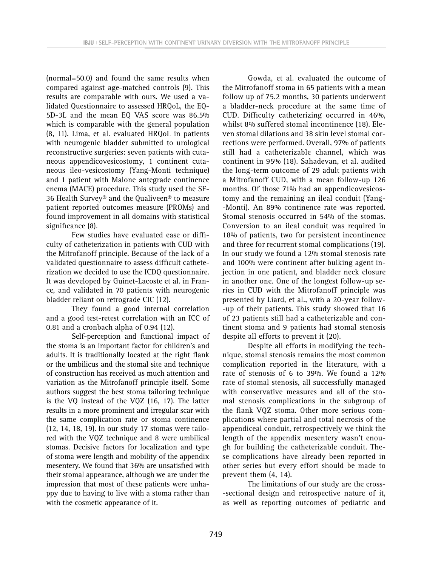(normal=50.0) and found the same results when compared against age-matched controls (9). This results are comparable with ours. We used a validated Questionnaire to assessed HRQoL, the EQ-5D-3L and the mean EQ VAS score was 86.5% which is comparable with the general population (8, 11). Lima, et al. evaluated HRQoL in patients with neurogenic bladder submitted to urological reconstructive surgeries: seven patients with cutaneous appendicovesicostomy, 1 continent cutaneous ileo-vesicostomy (Yang-Monti technique) and 1 patient with Malone antegrade continence enema (MACE) procedure. This study used the SF-36 Health Survey® and the Qualiveen® to measure patient reported outcomes measure (PROMs) and found improvement in all domains with statistical significance (8).

Few studies have evaluated ease or difficulty of catheterization in patients with CUD with the Mitrofanoff principle. Because of the lack of a validated questionnaire to assess difficult catheterization we decided to use the ICDQ questionnaire. It was developed by Guinet-Lacoste et al. in France, and validated in 70 patients with neurogenic bladder reliant on retrograde CIC (12).

They found a good internal correlation and a good test-retest correlation with an ICC of 0.81 and a cronbach alpha of 0.94 (12).

Self-perception and functional impact of the stoma is an important factor for children's and adults. It is traditionally located at the right flank or the umbilicus and the stomal site and technique of construction has received as much attention and variation as the Mitrofanoff principle itself. Some authors suggest the best stoma tailoring technique is the VQ instead of the VQZ (16, 17). The latter results in a more prominent and irregular scar with the same complication rate or stoma continence (12, 14, 18, 19). In our study 17 stomas were tailored with the VQZ technique and 8 were umbilical stomas. Decisive factors for localization and type of stoma were length and mobility of the appendix mesentery. We found that 36% are unsatisfied with their stomal appearance, although we are under the impression that most of these patients were unhappy due to having to live with a stoma rather than with the cosmetic appearance of it.

Gowda, et al. evaluated the outcome of the Mitrofanoff stoma in 65 patients with a mean follow up of 75.2 months, 30 patients underwent a bladder-neck procedure at the same time of CUD. Difficulty catheterizing occurred in 46%, whilst 8% suffered stomal incontinence (18). Eleven stomal dilations and 38 skin level stomal corrections were performed. Overall, 97% of patients still had a catheterizable channel, which was continent in 95% (18). Sahadevan, et al. audited the long-term outcome of 29 adult patients with a Mitrofanoff CUD, with a mean follow-up 126 months. Of those 71% had an appendicovesicostomy and the remaining an ileal conduit (Yang- -Monti). An 89% continence rate was reported. Stomal stenosis occurred in 54% of the stomas. Conversion to an ileal conduit was required in 18% of patients, two for persistent incontinence and three for recurrent stomal complications (19). In our study we found a 12% stomal stenosis rate and 100% were continent after bulking agent injection in one patient, and bladder neck closure in another one. One of the longest follow-up series in CUD with the Mitrofanoff principle was presented by Liard, et al., with a 20-year follow- -up of their patients. This study showed that 16 of 23 patients still had a catheterizable and continent stoma and 9 patients had stomal stenosis despite all efforts to prevent it (20).

Despite all efforts in modifying the technique, stomal stenosis remains the most common complication reported in the literature, with a rate of stenosis of 6 to 39%. We found a 12% rate of stomal stenosis, all successfully managed with conservative measures and all of the stomal stenosis complications in the subgroup of the flank VQZ stoma. Other more serious complications where partial and total necrosis of the appendiceal conduit, retrospectively we think the length of the appendix mesentery wasn't enough for building the catheterizable conduit. These complications have already been reported in other series but every effort should be made to prevent them (4, 14).

The limitations of our study are the cross- -sectional design and retrospective nature of it, as well as reporting outcomes of pediatric and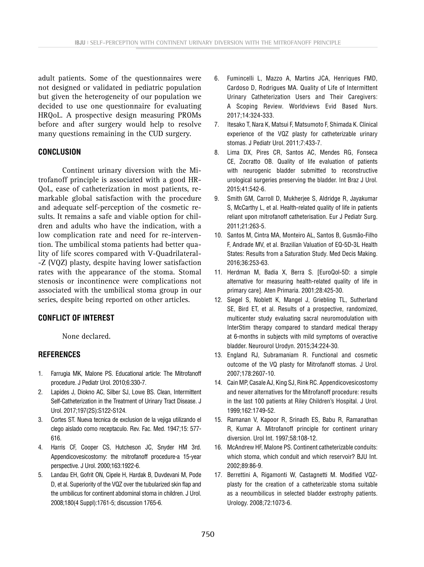adult patients. Some of the questionnaires were not designed or validated in pediatric population but given the heterogeneity of our population we decided to use one questionnaire for evaluating HRQoL. A prospective design measuring PROMs before and after surgery would help to resolve many questions remaining in the CUD surgery.

### **CONCLUSION**

Continent urinary diversion with the Mitrofanoff principle is associated with a good HR-QoL, ease of catheterization in most patients, remarkable global satisfaction with the procedure and adequate self-perception of the cosmetic results. It remains a safe and viable option for children and adults who have the indication, with a low complication rate and need for re-intervention. The umbilical stoma patients had better quality of life scores compared with V-Quadrilateral- -Z (VQZ) plasty, despite having lower satisfaction rates with the appearance of the stoma. Stomal stenosis or incontinence were complications not associated with the umbilical stoma group in our series, despite being reported on other articles.

## **CONFLICT OF INTEREST**

None declared.

### **REFERENCES**

- 1. Farrugia MK, Malone PS. Educational article: The Mitrofanoff procedure. J Pediatr Urol. 2010;6:330-7.
- 2. Lapides J, Diokno AC, Silber SJ, Lowe BS. Clean, Intermittent Self-Catheterization in the Treatment of Urinary Tract Disease. J Urol. 2017;197(2S):S122-S124.
- 3. Cortes ST. Nueva tecnica de exclusion de la vejiga utilizando el clego aislado como receptaculo. Rev. Fac. Med. 1947;15: 577- 616.
- 4. Harris CF, Cooper CS, Hutcheson JC, Snyder HM 3rd. Appendicovesicostomy: the mitrofanoff procedure-a 15-year perspective. J Urol. 2000;163:1922-6.
- 5. Landau EH, Gofrit ON, Cipele H, Hardak B, Duvdevani M, Pode D, et al. Superiority of the VQZ over the tubularized skin flap and the umbilicus for continent abdominal stoma in children. J Urol. 2008;180(4 Suppl):1761-5; discussion 1765-6.
- 6. Fumincelli L, Mazzo A, Martins JCA, Henriques FMD, Cardoso D, Rodrigues MA. Quality of Life of Intermittent Urinary Catheterization Users and Their Caregivers: A Scoping Review. Worldviews Evid Based Nurs. 2017;14:324-333.
- 7. Itesako T, Nara K, Matsui F, Matsumoto F, Shimada K. Clinical experience of the VQZ plasty for catheterizable urinary stomas. J Pediatr Urol. 2011;7:433-7.
- 8. Lima DX, Pires CR, Santos AC, Mendes RG, Fonseca CE, Zocratto OB. Quality of life evaluation of patients with neurogenic bladder submitted to reconstructive urological surgeries preserving the bladder. Int Braz J Urol. 2015;41:542-6.
- 9. Smith GM, Carroll D, Mukherjee S, Aldridge R, Jayakumar S, McCarthy L, et al. Health-related quality of life in patients reliant upon mitrofanoff catheterisation. Eur J Pediatr Surg. 2011;21:263-5.
- 10. Santos M, Cintra MA, Monteiro AL, Santos B, Gusmão-Filho F, Andrade MV, et al. Brazilian Valuation of EQ-5D-3L Health States: Results from a Saturation Study. Med Decis Making. 2016;36:253-63.
- 11. Herdman M, Badia X, Berra S. [EuroQol-5D: a simple alternative for measuring health-related quality of life in primary care]. Aten Primaria. 2001;28:425-30.
- 12. Siegel S, Noblett K, Mangel J, Griebling TL, Sutherland SE, Bird ET, et al. Results of a prospective, randomized, multicenter study evaluating sacral neuromodulation with InterStim therapy compared to standard medical therapy at 6-months in subjects with mild symptoms of overactive bladder. Neurourol Urodyn. 2015;34:224-30.
- 13. England RJ, Subramaniam R. Functional and cosmetic outcome of the VQ plasty for Mitrofanoff stomas. J Urol. 2007;178:2607-10.
- 14. Cain MP, Casale AJ, King SJ, Rink RC. Appendicovesicostomy and newer alternatives for the Mitrofanoff procedure: results in the last 100 patients at Riley Children's Hospital. J Urol. 1999;162:1749-52.
- 15. Ramanan V, Kapoor R, Srinadh ES, Babu R, Ramanathan R, Kumar A. Mitrofanoff principle for continent urinary diversion. Urol Int. 1997;58:108-12.
- 16. McAndrew HF, Malone PS. Continent catheterizable conduits: which stoma, which conduit and which reservoir? BJU Int. 2002;89:86-9.
- 17. Berrettini A, Rigamonti W, Castagnetti M. Modified VQZplasty for the creation of a catheterizable stoma suitable as a neoumbilicus in selected bladder exstrophy patients. Urology. 2008;72:1073-6.